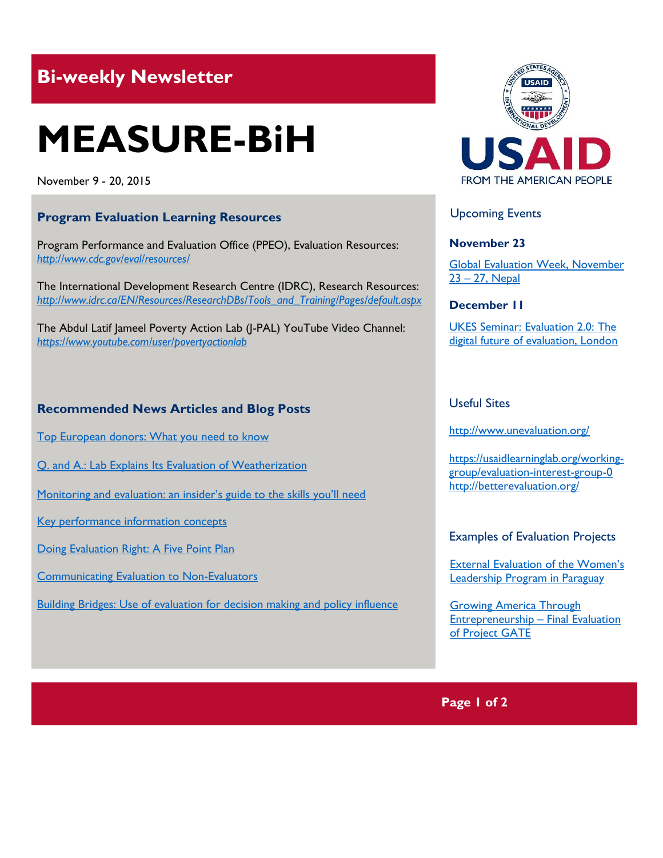## **Bi-weekly Newsletter**

# **MEASURE-BiH**

November 9 - 20, 2015

#### **Program Evaluation Learning Resources**

Program Performance and Evaluation Office (PPEO), Evaluation Resources: *<http://www.cdc.gov/eval/resources/>*

The International Development Research Centre (IDRC), Research Resources: *[http://www.idrc.ca/EN/Resources/ResearchDBs/Tools\\_and\\_Training/Pages/default.aspx](http://www.idrc.ca/EN/Resources/ResearchDBs/Tools_and_Training/Pages/default.aspx)*

The Abdul Latif Jameel Poverty Action Lab (J-PAL) YouTube Video Channel: *<https://www.youtube.com/user/povertyactionlab>*

#### **Recommended News Articles and Blog Posts**

[Top European donors: What you need to know](https://www.devex.com/news/top-european-donors-what-you-need-to-know-87142)

[Q. and A.: Lab Explains Its Evaluation of Weatherization](http://www.nytimes.com/2015/10/07/business/energy-environment/q-and-a-on-us-weatherization-program.html?_r=0)

Monitoring and [evaluation: an insider's guide to the skills you'll need](http://www.theguardian.com/global-development-professionals-network/2014/sep/26/monitoring-and-evaluation-international-development-skills)

[Key performance information concepts](http://www.thepresidency.gov.za/learning/reference/framework/part3.pdf)

[Doing Evaluation Right: A Five Point Plan](http://blogs.worldbank.org/publicsphere/getting-evaluation-right-five-point-plan)

[Communicating Evaluation to Non-Evaluators](http://betterevaluation.org/blog/communicating_evaluation_to_non_evaluators)

[Building Bridges: Use of evaluation for decision making and policy influence](http://communityofevaluators.org/use-of-evaluation-for-decision-making-and-policy-influence)



Upcoming Events

#### **November 23**

[Global Evaluation Week, November](http://mymande.org/evalyear/global_event-2015)  23 – [27, Nepal](http://mymande.org/evalyear/global_event-2015)

#### **December 11**

[UKES Seminar: Evaluation 2.0: The](http://mande.co.uk/conferences/?event_id1=22)  [digital future of evaluation, London](http://mande.co.uk/conferences/?event_id1=22)

#### Useful Sites

<http://www.unevaluation.org/>

[https://usaidlearninglab.org/working](https://usaidlearninglab.org/working-group/evaluation-interest-group-0)[group/evaluation-interest-group-0](https://usaidlearninglab.org/working-group/evaluation-interest-group-0) <http://betterevaluation.org/>

Examples of Evaluation Projects

[External Evaluation of the Women's](http://pdf.usaid.gov/pdf_docs/pa00kngf.pdf)  [Leadership Program in Paraguay](http://pdf.usaid.gov/pdf_docs/pa00kngf.pdf)

[Growing America Through](http://www.impaqint.com/sites/default/files/files/Growing%20America%20Through%20Entrepreneurship%20-%20Final%20Evaluation%20of%20Project%20GATE.pdf)  [Entrepreneurship](http://www.impaqint.com/sites/default/files/files/Growing%20America%20Through%20Entrepreneurship%20-%20Final%20Evaluation%20of%20Project%20GATE.pdf) – Final Evaluation [of Project GATE](http://www.impaqint.com/sites/default/files/files/Growing%20America%20Through%20Entrepreneurship%20-%20Final%20Evaluation%20of%20Project%20GATE.pdf)

**Page 1 of 2**